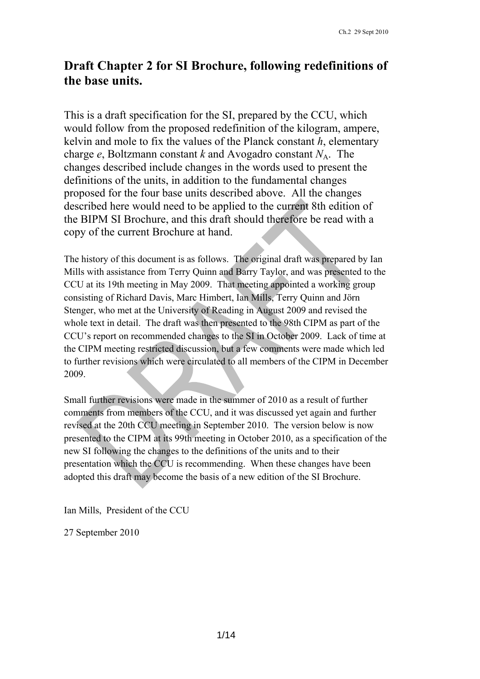# **Draft Chapter 2 for SI Brochure, following redefinitions of the base units.**

This is a draft specification for the SI, prepared by the CCU, which would follow from the proposed redefinition of the kilogram, ampere, kelvin and mole to fix the values of the Planck constant *h*, elementary charge *e*, Boltzmann constant *k* and Avogadro constant  $N_A$ . The changes described include changes in the words used to present the definitions of the units, in addition to the fundamental changes proposed for the four base units described above. All the changes described here would need to be applied to the current 8th edition of the BIPM SI Brochure, and this draft should therefore be read with a copy of the current Brochure at hand.

The history of this document is as follows. The original draft was prepared by Ian Mills with assistance from Terry Quinn and Barry Taylor, and was presented to the CCU at its 19th meeting in May 2009. That meeting appointed a working group consisting of Richard Davis, Marc Himbert, Ian Mills, Terry Quinn and Jörn Stenger, who met at the University of Reading in August 2009 and revised the whole text in detail. The draft was then presented to the 98th CIPM as part of the CCU's report on recommended changes to the SI in October 2009. Lack of time at the CIPM meeting restricted discussion, but a few comments were made which led to further revisions which were circulated to all members of the CIPM in December 2009.

Small further revisions were made in the summer of 2010 as a result of further comments from members of the CCU, and it was discussed yet again and further revised at the 20th CCU meeting in September 2010. The version below is now presented to the CIPM at its 99th meeting in October 2010, as a specification of the new SI following the changes to the definitions of the units and to their presentation which the CCU is recommending. When these changes have been adopted this draft may become the basis of a new edition of the SI Brochure.

Ian Mills, President of the CCU

27 September 2010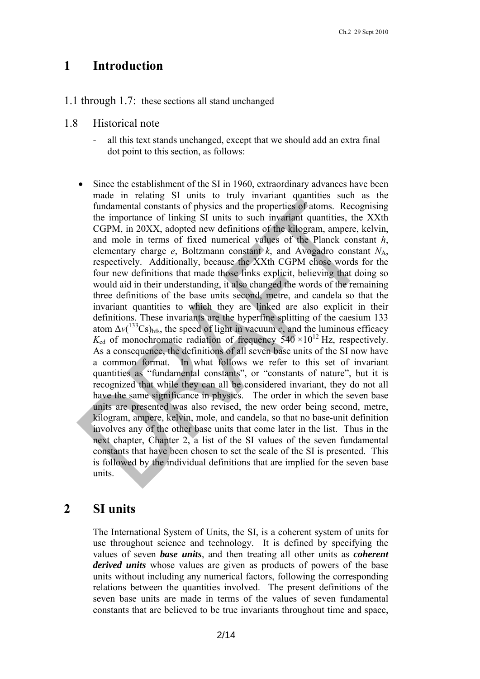## **1 Introduction**

- 1.1 through 1.7: these sections all stand unchanged
- 1.8 Historical note
	- all this text stands unchanged, except that we should add an extra final dot point to this section, as follows:
	- Since the establishment of the SI in 1960, extraordinary advances have been made in relating SI units to truly invariant quantities such as the fundamental constants of physics and the properties of atoms. Recognising the importance of linking SI units to such invariant quantities, the XXth CGPM, in 20XX, adopted new definitions of the kilogram, ampere, kelvin, and mole in terms of fixed numerical values of the Planck constant *h*, elementary charge  $e$ , Boltzmann constant  $k$ , and Avogadro constant  $N_A$ , respectively. Additionally, because the XXth CGPM chose words for the four new definitions that made those links explicit, believing that doing so would aid in their understanding, it also changed the words of the remaining three definitions of the base units second, metre, and candela so that the invariant quantities to which they are linked are also explicit in their definitions. These invariants are the hyperfine splitting of the caesium 133 atom  $\Delta v(^{133}Cs)_{\text{hfs}}$ , the speed of light in vacuum *c*, and the luminous efficacy  $K_{\rm cd}$  of monochromatic radiation of frequency  $540 \times 10^{12}$  Hz, respectively. As a consequence, the definitions of all seven base units of the SI now have a common format. In what follows we refer to this set of invariant quantities as "fundamental constants", or "constants of nature", but it is recognized that while they can all be considered invariant, they do not all have the same significance in physics. The order in which the seven base units are presented was also revised, the new order being second, metre, kilogram, ampere, kelvin, mole, and candela, so that no base-unit definition involves any of the other base units that come later in the list. Thus in the next chapter, Chapter 2, a list of the SI values of the seven fundamental constants that have been chosen to set the scale of the SI is presented. This is followed by the individual definitions that are implied for the seven base units.

## **2 SI units**

The International System of Units, the SI, is a coherent system of units for use throughout science and technology. It is defined by specifying the values of seven *base units*, and then treating all other units as *coherent derived units* whose values are given as products of powers of the base units without including any numerical factors, following the corresponding relations between the quantities involved. The present definitions of the seven base units are made in terms of the values of seven fundamental constants that are believed to be true invariants throughout time and space,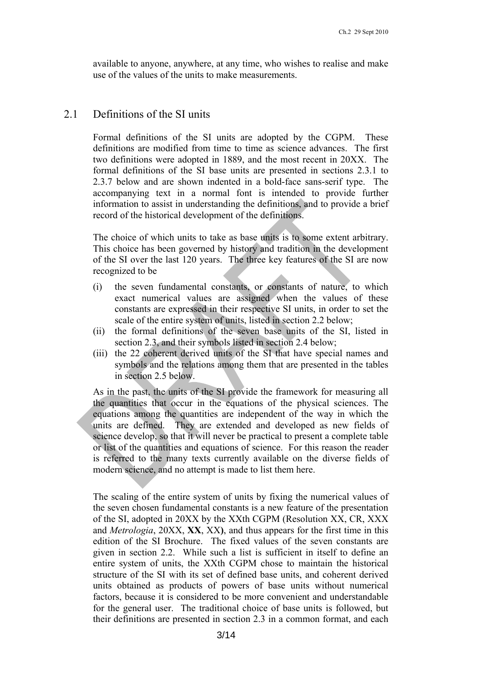available to anyone, anywhere, at any time, who wishes to realise and make use of the values of the units to make measurements.

## 2.1 Definitions of the SI units

Formal definitions of the SI units are adopted by the CGPM. These definitions are modified from time to time as science advances. The first two definitions were adopted in 1889, and the most recent in 20XX. The formal definitions of the SI base units are presented in sections 2.3.1 to 2.3.7 below and are shown indented in a bold-face sans-serif type. The accompanying text in a normal font is intended to provide further information to assist in understanding the definitions, and to provide a brief record of the historical development of the definitions.

The choice of which units to take as base units is to some extent arbitrary. This choice has been governed by history and tradition in the development of the SI over the last 120 years. The three key features of the SI are now recognized to be

- (i) the seven fundamental constants, or constants of nature, to which exact numerical values are assigned when the values of these constants are expressed in their respective SI units, in order to set the scale of the entire system of units, listed in section 2.2 below;
- (ii) the formal definitions of the seven base units of the SI, listed in section 2.3, and their symbols listed in section 2.4 below;
- (iii) the 22 coherent derived units of the SI that have special names and symbols and the relations among them that are presented in the tables in section 2.5 below.

As in the past, the units of the SI provide the framework for measuring all the quantities that occur in the equations of the physical sciences. The equations among the quantities are independent of the way in which the units are defined. They are extended and developed as new fields of science develop, so that it will never be practical to present a complete table or list of the quantities and equations of science. For this reason the reader is referred to the many texts currently available on the diverse fields of modern science, and no attempt is made to list them here.

The scaling of the entire system of units by fixing the numerical values of the seven chosen fundamental constants is a new feature of the presentation of the SI, adopted in 20XX by the XXth CGPM (Resolution XX, CR, XXX and *Metrologia*, 20XX, **XX**, XX**)**, and thus appears for the first time in this edition of the SI Brochure. The fixed values of the seven constants are given in section 2.2. While such a list is sufficient in itself to define an entire system of units, the XXth CGPM chose to maintain the historical structure of the SI with its set of defined base units, and coherent derived units obtained as products of powers of base units without numerical factors, because it is considered to be more convenient and understandable for the general user. The traditional choice of base units is followed, but their definitions are presented in section 2.3 in a common format, and each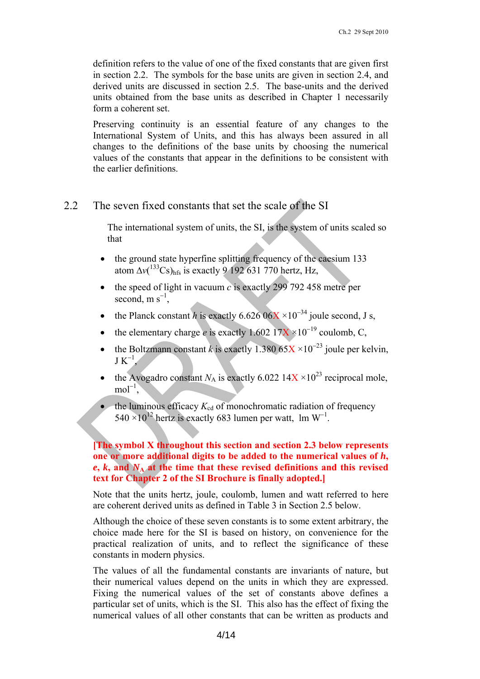definition refers to the value of one of the fixed constants that are given first in section 2.2. The symbols for the base units are given in section 2.4, and derived units are discussed in section 2.5. The base-units and the derived units obtained from the base units as described in Chapter 1 necessarily form a coherent set.

Preserving continuity is an essential feature of any changes to the International System of Units, and this has always been assured in all changes to the definitions of the base units by choosing the numerical values of the constants that appear in the definitions to be consistent with the earlier definitions.

## 2.2 The seven fixed constants that set the scale of the SI

The international system of units, the SI, is the system of units scaled so that

- the ground state hyperfine splitting frequency of the caesium 133 atom  $\Delta v(^{133}Cs)_{\text{hfs}}$  is exactly 9 192 631 770 hertz, Hz,
- the speed of light in vacuum *c* is exactly 299 792 458 metre per second, m  $s^{-1}$ ,
- the Planck constant *h* is exactly  $6.62606X \times 10^{-34}$  joule second, J s,
- the elementary charge *e* is exactly  $1.602 \frac{17X}{10^{-19}}$  coulomb, C,
- the Boltzmann constant *k* is exactly 1.380  $65X \times 10^{-23}$  joule per kelvin,  $J K^{-1}$ ,
- the Avogadro constant  $N_A$  is exactly 6.022 14X  $\times 10^{23}$  reciprocal mole,  $mol^{-1}$ ,
- $\bullet$  the luminous efficacy  $K_{cd}$  of monochromatic radiation of frequency  $540 \times 10^{12}$  hertz is exactly 683 lumen per watt, lm W<sup>-1</sup>.

## **[The symbol X throughout this section and section 2.3 below represents one or more additional digits to be added to the numerical values of** *h***,**   $e, k$ , and  $N_A$  at the time that these revised definitions and this revised **text for Chapter 2 of the SI Brochure is finally adopted.]**

Note that the units hertz, joule, coulomb, lumen and watt referred to here are coherent derived units as defined in Table 3 in Section 2.5 below.

Although the choice of these seven constants is to some extent arbitrary, the choice made here for the SI is based on history, on convenience for the practical realization of units, and to reflect the significance of these constants in modern physics.

The values of all the fundamental constants are invariants of nature, but their numerical values depend on the units in which they are expressed. Fixing the numerical values of the set of constants above defines a particular set of units, which is the SI. This also has the effect of fixing the numerical values of all other constants that can be written as products and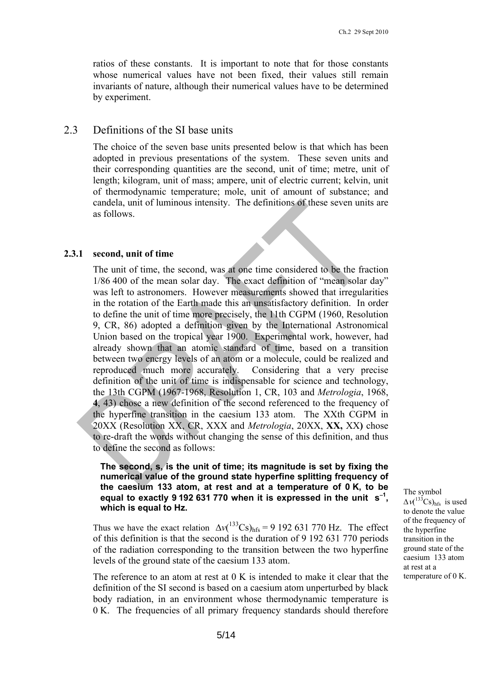ratios of these constants. It is important to note that for those constants whose numerical values have not been fixed, their values still remain invariants of nature, although their numerical values have to be determined by experiment.

## 2.3 Definitions of the SI base units

The choice of the seven base units presented below is that which has been adopted in previous presentations of the system. These seven units and their corresponding quantities are the second, unit of time; metre, unit of length; kilogram, unit of mass; ampere, unit of electric current; kelvin, unit of thermodynamic temperature; mole, unit of amount of substance; and candela, unit of luminous intensity. The definitions of these seven units are as follows.

#### **2.3.1 second, unit of time**

The unit of time, the second, was at one time considered to be the fraction 1/86 400 of the mean solar day. The exact definition of "mean solar day" was left to astronomers. However measurements showed that irregularities in the rotation of the Earth made this an unsatisfactory definition. In order to define the unit of time more precisely, the 11th CGPM (1960, Resolution 9, CR, 86) adopted a definition given by the International Astronomical Union based on the tropical year 1900. Experimental work, however, had already shown that an atomic standard of time, based on a transition between two energy levels of an atom or a molecule, could be realized and reproduced much more accurately. Considering that a very precise definition of the unit of time is indispensable for science and technology, the 13th CGPM (1967-1968, Resolution 1, CR, 103 and *Metrologia*, 1968, **4**, 43) chose a new definition of the second referenced to the frequency of the hyperfine transition in the caesium 133 atom. The XXth CGPM in 20XX (Resolution XX, CR, XXX and *Metrologia*, 20XX, **XX,** XX**)** chose to re-draft the words without changing the sense of this definition, and thus to define the second as follows:

#### **The second, s, is the unit of time; its magnitude is set by fixing the numerical value of the ground state hyperfine splitting frequency of the caesium 133 atom, at rest and at a temperature of 0 K, to be**  equal to exactly 9 192 631 770 when it is expressed in the unit s<sup>-1</sup>, **which is equal to Hz.**

Thus we have the exact relation  $\Delta v(^{133}Cs)_{hfs} = 9\ 192\ 631\ 770\ Hz$ . The effect of this definition is that the second is the duration of 9 192 631 770 periods of the radiation corresponding to the transition between the two hyperfine levels of the ground state of the caesium 133 atom.

The reference to an atom at rest at 0 K is intended to make it clear that the definition of the SI second is based on a caesium atom unperturbed by black body radiation, in an environment whose thermodynamic temperature is 0 K. The frequencies of all primary frequency standards should therefore The symbol  $\Delta v(^{133}Cs)_{\text{hfs}}$  is used to denote the value of the frequency of the hyperfine transition in the ground state of the caesium 133 atom at rest at a temperature of 0 K.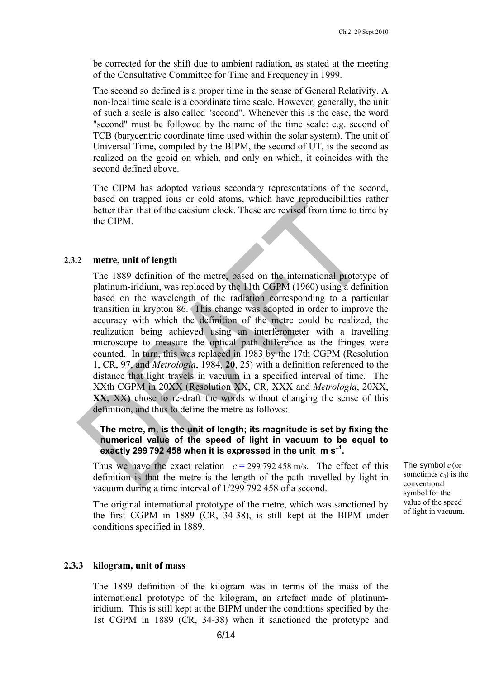be corrected for the shift due to ambient radiation, as stated at the meeting of the Consultative Committee for Time and Frequency in 1999.

The second so defined is a proper time in the sense of General Relativity. A non-local time scale is a coordinate time scale. However, generally, the unit of such a scale is also called "second". Whenever this is the case, the word "second" must be followed by the name of the time scale: e.g. second of TCB (barycentric coordinate time used within the solar system). The unit of Universal Time, compiled by the BIPM, the second of UT, is the second as realized on the geoid on which, and only on which, it coincides with the second defined above.

The CIPM has adopted various secondary representations of the second, based on trapped ions or cold atoms, which have reproducibilities rather better than that of the caesium clock. These are revised from time to time by the CIPM.

#### **2.3.2 metre, unit of length**

The 1889 definition of the metre, based on the international prototype of platinum-iridium, was replaced by the 11th CGPM (1960) using a definition based on the wavelength of the radiation corresponding to a particular transition in krypton 86. This change was adopted in order to improve the accuracy with which the definition of the metre could be realized, the realization being achieved using an interferometer with a travelling microscope to measure the optical path difference as the fringes were counted. In turn, this was replaced in 1983 by the 17th CGPM (Resolution 1, CR, 97, and *Metrologia*, 1984, **20**, 25) with a definition referenced to the distance that light travels in vacuum in a specified interval of time. The XXth CGPM in 20XX (Resolution XX, CR, XXX and *Metrologia*, 20XX, **XX,** XX**)** chose to re-draft the words without changing the sense of this definition, and thus to define the metre as follows:

### **The metre, m, is the unit of length; its magnitude is set by fixing the numerical value of the speed of light in vacuum to be equal to**  exactly 299 792 458 when it is expressed in the unit m s<sup>-1</sup>.

Thus we have the exact relation  $c = 299\,792\,458\,\mathrm{m/s}$ . The effect of this definition is that the metre is the length of the path travelled by light in vacuum during a time interval of 1/299 792 458 of a second.

The original international prototype of the metre, which was sanctioned by the first CGPM in 1889 (CR, 34-38), is still kept at the BIPM under conditions specified in 1889.

#### **2.3.3 kilogram, unit of mass**

The 1889 definition of the kilogram was in terms of the mass of the international prototype of the kilogram, an artefact made of platinumiridium. This is still kept at the BIPM under the conditions specified by the 1st CGPM in 1889 (CR, 34-38) when it sanctioned the prototype and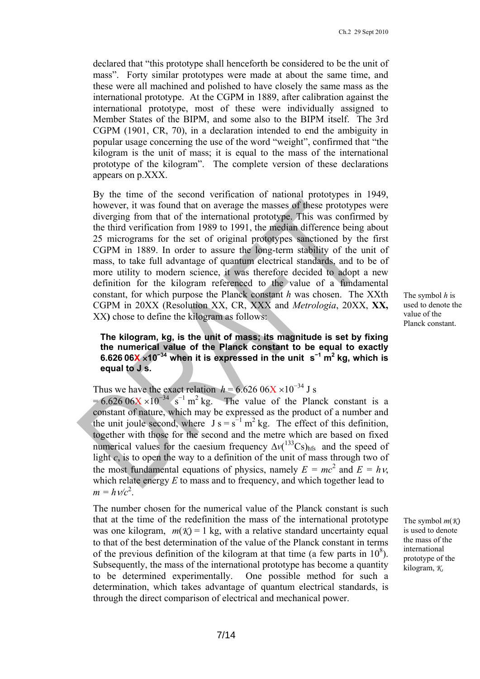declared that "this prototype shall henceforth be considered to be the unit of mass". Forty similar prototypes were made at about the same time, and these were all machined and polished to have closely the same mass as the international prototype. At the CGPM in 1889, after calibration against the international prototype, most of these were individually assigned to Member States of the BIPM, and some also to the BIPM itself. The 3rd CGPM (1901, CR, 70), in a declaration intended to end the ambiguity in popular usage concerning the use of the word "weight", confirmed that "the kilogram is the unit of mass; it is equal to the mass of the international prototype of the kilogram". The complete version of these declarations appears on p.XXX.

By the time of the second verification of national prototypes in 1949, however, it was found that on average the masses of these prototypes were diverging from that of the international prototype. This was confirmed by the third verification from 1989 to 1991, the median difference being about 25 micrograms for the set of original prototypes sanctioned by the first CGPM in 1889. In order to assure the long-term stability of the unit of mass, to take full advantage of quantum electrical standards, and to be of more utility to modern science, it was therefore decided to adopt a new definition for the kilogram referenced to the value of a fundamental constant, for which purpose the Planck constant *h* was chosen. The XXth CGPM in 20XX (Resolution XX, CR, XXX and *Metrologia*, 20XX, **XX,**  XX**)** chose to define the kilogram as follows:

The symbol *h* is used to denote the value of the Planck constant.

**The kilogram, kg, is the unit of mass; its magnitude is set by fixing the numerical value of the Planck constant to be equal to exactly 6.626 06X 10<sup>−</sup>34 when it is expressed in the unit s−<sup>1</sup> m<sup>2</sup> kg, which is equal to J s.** 

Thus we have the exact relation  $h = 6.626 \, 06X \times 10^{-34}$  J s

 $= 6.626 \times 10^{-34} \text{ s}^{-1} \text{ m}^2 \text{ kg}$ . The value of the Planck constant is a constant of nature, which may be expressed as the product of a number and the unit joule second, where  $J s = s^{-1} m^2 kg$ . The effect of this definition, together with those for the second and the metre which are based on fixed numerical values for the caesium frequency  $\Delta v(^{133}Cs)_{hfs}$  and the speed of light  $c$ , is to open the way to a definition of the unit of mass through two of the most fundamental equations of physics, namely  $E = mc^2$  and  $E = h\nu$ , which relate energy *E* to mass and to frequency, and which together lead to  $m = h \sqrt{c^2}$ .

The number chosen for the numerical value of the Planck constant is such that at the time of the redefinition the mass of the international prototype was one kilogram,  $m(\mathcal{K}) = 1$  kg, with a relative standard uncertainty equal to that of the best determination of the value of the Planck constant in terms of the previous definition of the kilogram at that time (a few parts in  $10^8$ ). Subsequently, the mass of the international prototype has become a quantity to be determined experimentally. One possible method for such a determination, which takes advantage of quantum electrical standards, is through the direct comparison of electrical and mechanical power.

The symbol *m*(*K*) is used to denote the mass of the international prototype of the kilogram, *K*.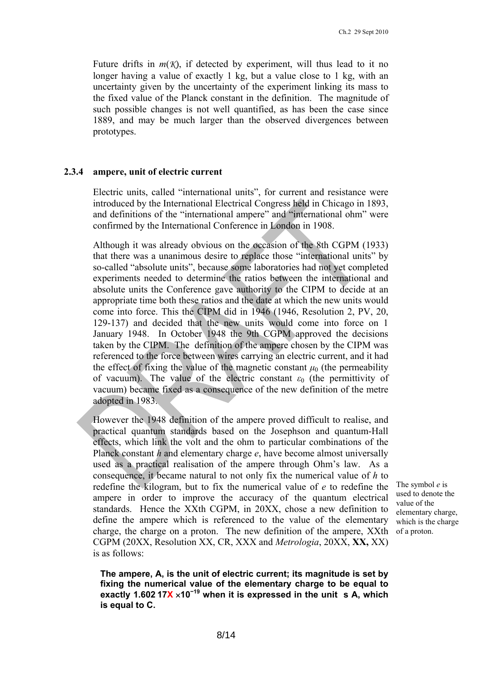Future drifts in  $m(X)$ , if detected by experiment, will thus lead to it no longer having a value of exactly 1 kg, but a value close to 1 kg, with an uncertainty given by the uncertainty of the experiment linking its mass to the fixed value of the Planck constant in the definition. The magnitude of such possible changes is not well quantified, as has been the case since 1889, and may be much larger than the observed divergences between prototypes.

#### **2.3.4 ampere, unit of electric current**

Electric units, called "international units", for current and resistance were introduced by the International Electrical Congress held in Chicago in 1893, and definitions of the "international ampere" and "international ohm" were confirmed by the International Conference in London in 1908.

Although it was already obvious on the occasion of the 8th CGPM (1933) that there was a unanimous desire to replace those "international units" by so-called "absolute units", because some laboratories had not yet completed experiments needed to determine the ratios between the international and absolute units the Conference gave authority to the CIPM to decide at an appropriate time both these ratios and the date at which the new units would come into force. This the CIPM did in 1946 (1946, Resolution 2, PV, 20, 129-137) and decided that the new units would come into force on 1 January 1948. In October 1948 the 9th CGPM approved the decisions taken by the CIPM. The definition of the ampere chosen by the CIPM was referenced to the force between wires carrying an electric current, and it had the effect of fixing the value of the magnetic constant  $\mu_0$  (the permeability of vacuum). The value of the electric constant  $\varepsilon_0$  (the permittivity of vacuum) became fixed as a consequence of the new definition of the metre adopted in 1983.

However the 1948 definition of the ampere proved difficult to realise, and practical quantum standards based on the Josephson and quantum-Hall effects, which link the volt and the ohm to particular combinations of the Planck constant *h* and elementary charge *e*, have become almost universally used as a practical realisation of the ampere through Ohm's law. As a consequence, it became natural to not only fix the numerical value of *h* to redefine the kilogram, but to fix the numerical value of *e* to redefine the ampere in order to improve the accuracy of the quantum electrical standards. Hence the XXth CGPM, in 20XX, chose a new definition to define the ampere which is referenced to the value of the elementary charge, the charge on a proton. The new definition of the ampere, XXth CGPM (20XX, Resolution XX, CR, XXX and *Metrologia*, 20XX, **XX,** XX) is as follows:

The symbol *e* is used to denote the value of the elementary charge, which is the charge of a proton.

**The ampere, A, is the unit of electric current; its magnitude is set by fixing the numerical value of the elementary charge to be equal to exactly 1.602 17X 10<sup>−</sup>19 when it is expressed in the unit s A, which is equal to C.**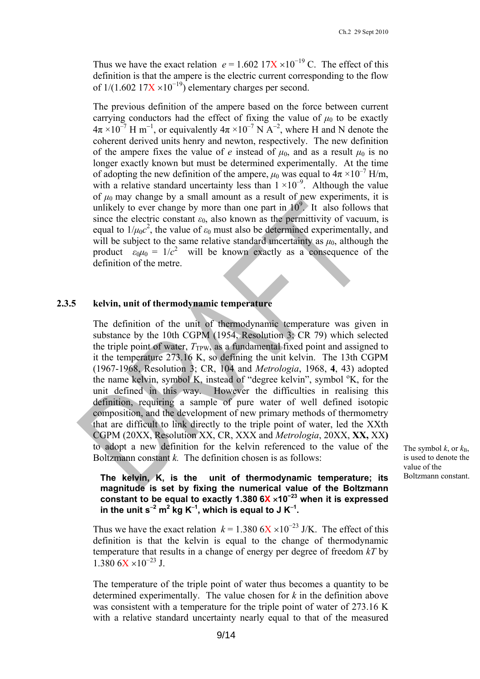Thus we have the exact relation  $e = 1.602 \frac{17X}{10^{-19}}C$ . The effect of this definition is that the ampere is the electric current corresponding to the flow of  $1/(1.602 \frac{17X}{10^{-19}})$  elementary charges per second.

The previous definition of the ampere based on the force between current carrying conductors had the effect of fixing the value of  $\mu_0$  to be exactly  $4\pi \times 10^{-7}$  H m<sup>-1</sup>, or equivalently  $4\pi \times 10^{-7}$  N A<sup>-2</sup>, where H and N denote the coherent derived units henry and newton, respectively. The new definition of the ampere fixes the value of *e* instead of  $\mu_0$ , and as a result  $\mu_0$  is no longer exactly known but must be determined experimentally. At the time of adopting the new definition of the ampere,  $\mu_0$  was equal to  $4\pi \times 10^{-7}$  H/m, with a relative standard uncertainty less than  $1 \times 10^{-9}$ . Although the value of  $\mu_0$  may change by a small amount as a result of new experiments, it is unlikely to ever change by more than one part in  $10^9$ . It also follows that since the electric constant  $\varepsilon_0$ , also known as the permittivity of vacuum, is equal to  $1/\mu_0 c^2$ , the value of  $\varepsilon_0$  must also be determined experimentally, and will be subject to the same relative standard uncertainty as  $\mu_0$ , although the product  $\varepsilon_0 \mu_0 = 1/c^2$  will be known exactly as a consequence of the definition of the metre.

#### **2.3.5 kelvin, unit of thermodynamic temperature**

The definition of the unit of thermodynamic temperature was given in substance by the 10th CGPM (1954, Resolution 3; CR 79) which selected the triple point of water,  $T_{TPW}$ , as a fundamental fixed point and assigned to it the temperature 273.16 K, so defining the unit kelvin. The 13th CGPM (1967-1968, Resolution 3; CR, 104 and *Metrologia*, 1968, **4**, 43) adopted the name kelvin, symbol K, instead of "degree kelvin", symbol  $K$ , for the unit defined in this way. However the difficulties in realising this definition, requiring a sample of pure water of well defined isotopic composition, and the development of new primary methods of thermometry that are difficult to link directly to the triple point of water, led the XXth CGPM (20XX, Resolution XX, CR, XXX and *Metrologia*, 20XX, **XX,** XX**)**  to adopt a new definition for the kelvin referenced to the value of the Boltzmann constant *k.* The definition chosen is as follows:

The symbol  $k$ , or  $k_B$ , is used to denote the value of the

## **The kelvin, K, is the unit of thermodynamic temperature; its** Boltzmann constant. **magnitude is set by fixing the numerical value of the Boltzmann constant to be equal to exactly 1.380 6X 10<sup>−</sup>23 when it is expressed**  in the unit s<sup>-2</sup> m<sup>2</sup> kg K<sup>-1</sup>, which is equal to J K<sup>-1</sup>.

Thus we have the exact relation  $k = 1.380$  6X  $\times 10^{-23}$  J/K. The effect of this definition is that the kelvin is equal to the change of thermodynamic temperature that results in a change of energy per degree of freedom *kT* by  $1.380 \text{ } 6X \times 10^{-23} \text{ J}$ .

The temperature of the triple point of water thus becomes a quantity to be determined experimentally. The value chosen for *k* in the definition above was consistent with a temperature for the triple point of water of 273.16 K with a relative standard uncertainty nearly equal to that of the measured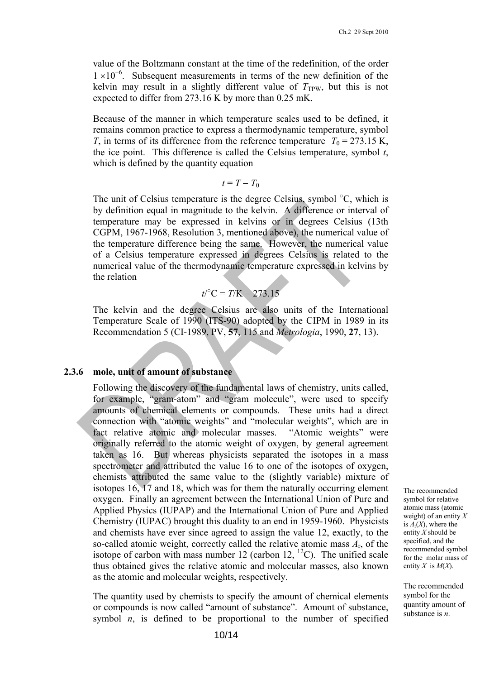value of the Boltzmann constant at the time of the redefinition, of the order  $1 \times 10^{-6}$ . Subsequent measurements in terms of the new definition of the kelvin may result in a slightly different value of  $T_{TPW}$ , but this is not expected to differ from 273.16 K by more than 0.25 mK.

Because of the manner in which temperature scales used to be defined, it remains common practice to express a thermodynamic temperature, symbol *T*, in terms of its difference from the reference temperature  $T_0 = 273.15$  K, the ice point. This difference is called the Celsius temperature, symbol *t*, which is defined by the quantity equation

$$
t = T - T_0
$$

The unit of Celsius temperature is the degree Celsius, symbol  $\mathrm{^{\circ}C}$ , which is by definition equal in magnitude to the kelvin. A difference or interval of temperature may be expressed in kelvins or in degrees Celsius (13th CGPM, 1967-1968, Resolution 3, mentioned above), the numerical value of the temperature difference being the same. However, the numerical value of a Celsius temperature expressed in degrees Celsius is related to the numerical value of the thermodynamic temperature expressed in kelvins by the relation

$$
t / {}^{\circ}C = T / K - 273.15
$$

The kelvin and the degree Celsius are also units of the International Temperature Scale of 1990 (ITS-90) adopted by the CIPM in 1989 in its Recommendation 5 (CI-1989, PV, **57**, 115 and *Metrologia*, 1990, **27**, 13).

#### **2.3.6 mole, unit of amount of substance**

Following the discovery of the fundamental laws of chemistry, units called, for example, "gram-atom" and "gram molecule", were used to specify amounts of chemical elements or compounds. These units had a direct connection with "atomic weights" and "molecular weights", which are in fact relative atomic and molecular masses. "Atomic weights" were originally referred to the atomic weight of oxygen, by general agreement taken as 16. But whereas physicists separated the isotopes in a mass spectrometer and attributed the value 16 to one of the isotopes of oxygen, chemists attributed the same value to the (slightly variable) mixture of isotopes 16, 17 and 18, which was for them the naturally occurring element oxygen. Finally an agreement between the International Union of Pure and Applied Physics (IUPAP) and the International Union of Pure and Applied Chemistry (IUPAC) brought this duality to an end in 1959-1960. Physicists and chemists have ever since agreed to assign the value 12, exactly, to the so-called atomic weight, correctly called the relative atomic mass *A*r, of the isotope of carbon with mass number 12 (carbon 12,  ${}^{12}$ C). The unified scale thus obtained gives the relative atomic and molecular masses, also known as the atomic and molecular weights, respectively.

The quantity used by chemists to specify the amount of chemical elements or compounds is now called "amount of substance". Amount of substance, symbol  $n$ , is defined to be proportional to the number of specified The recommended symbol for relative atomic mass (atomic weight) of an entity *X* is  $A_r(X)$ , where the entity *X* should be specified, and the recommended symbol for the molar mass of entity *X* is *M*(*X*).

The recommended symbol for the quantity amount of substance is *n*.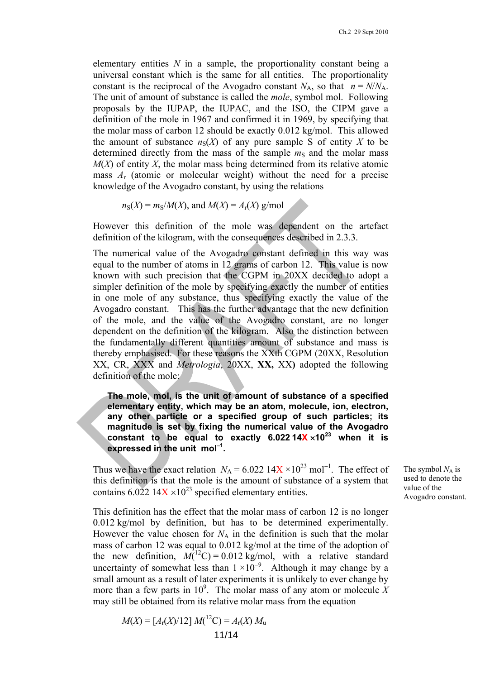elementary entities *N* in a sample, the proportionality constant being a universal constant which is the same for all entities. The proportionality constant is the reciprocal of the Avogadro constant  $N_A$ , so that  $n = N/N_A$ . The unit of amount of substance is called the *mole*, symbol mol. Following proposals by the IUPAP, the IUPAC, and the ISO, the CIPM gave a definition of the mole in 1967 and confirmed it in 1969, by specifying that the molar mass of carbon 12 should be exactly 0.012 kg/mol. This allowed the amount of substance  $n_S(X)$  of any pure sample S of entity X to be determined directly from the mass of the sample  $m<sub>S</sub>$  and the molar mass *M*(*X*) of entity *X*, the molar mass being determined from its relative atomic mass *A*r (atomic or molecular weight) without the need for a precise knowledge of the Avogadro constant, by using the relations

 $n_S(X) = m_S/M(X)$ , and  $M(X) = A_r(X)$  g/mol

However this definition of the mole was dependent on the artefact definition of the kilogram, with the consequences described in 2.3.3.

The numerical value of the Avogadro constant defined in this way was equal to the number of atoms in 12 grams of carbon 12. This value is now known with such precision that the CGPM in 20XX decided to adopt a simpler definition of the mole by specifying exactly the number of entities in one mole of any substance, thus specifying exactly the value of the Avogadro constant. This has the further advantage that the new definition of the mole, and the value of the Avogadro constant, are no longer dependent on the definition of the kilogram. Also the distinction between the fundamentally different quantities amount of substance and mass is thereby emphasised. For these reasons the XXth CGPM (20XX, Resolution XX, CR, XXX and *Metrologia*, 20XX, **XX,** XX**)** adopted the following definition of the mole:

**The mole, mol, is the unit of amount of substance of a specified elementary entity, which may be an atom, molecule, ion, electron, any other particle or a specified group of such particles; its magnitude is set by fixing the numerical value of the Avogadro constant to be equal to exactly 6.022 14X**  $\times$  10<sup>23</sup> when it is **expressed in the unit mol<sup>1</sup> .** 

Thus we have the exact relation  $N_A = 6.022 \frac{14X}{10^{23}}$  mol<sup>-1</sup>. The effect of this definition is that the mole is the amount of substance of a system that contains  $6.022\,14X \times 10^{23}$  specified elementary entities.

The symbol  $N_A$  is used to denote the value of the Avogadro constant.

This definition has the effect that the molar mass of carbon 12 is no longer 0.012 kg/mol by definition, but has to be determined experimentally. However the value chosen for  $N_A$  in the definition is such that the molar mass of carbon 12 was equal to 0.012 kg/mol at the time of the adoption of the new definition,  $M(^{12}C) = 0.012$  kg/mol, with a relative standard uncertainty of somewhat less than  $1 \times 10^{-9}$ . Although it may change by a small amount as a result of later experiments it is unlikely to ever change by more than a few parts in  $10^9$ . The molar mass of any atom or molecule X may still be obtained from its relative molar mass from the equation

$$
M(X) = [A_{\rm r}(X)/12] M({}^{12}{\rm C}) = A_{\rm r}(X) M_{\rm u}
$$
  
11/14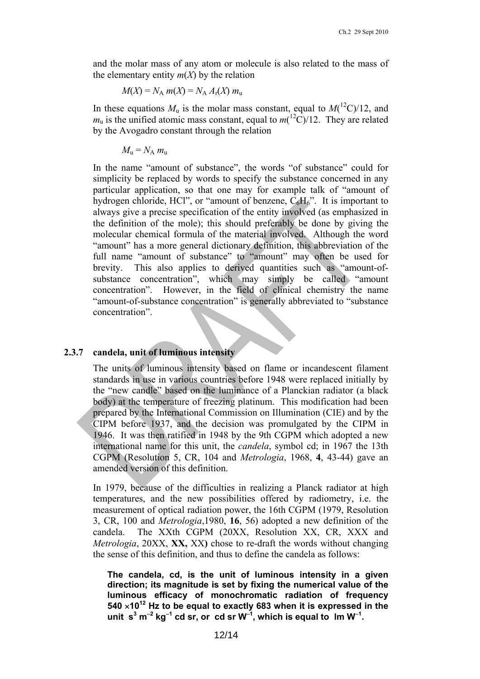and the molar mass of any atom or molecule is also related to the mass of the elementary entity  $m(X)$  by the relation

$$
M(X) = N_A m(X) = N_A A_r(X) m_u
$$

In these equations  $M_u$  is the molar mass constant, equal to  $M({}^{12}C)/12$ , and  $m_u$  is the unified atomic mass constant, equal to  $m({}^{12}C)/12$ . They are related by the Avogadro constant through the relation

$$
M_{\rm u}=N_{\rm A} m_{\rm u}
$$

In the name "amount of substance", the words "of substance" could for simplicity be replaced by words to specify the substance concerned in any particular application, so that one may for example talk of "amount of hydrogen chloride, HCl", or "amount of benzene,  $C_6H_6$ ". It is important to always give a precise specification of the entity involved (as emphasized in the definition of the mole); this should preferably be done by giving the molecular chemical formula of the material involved. Although the word "amount" has a more general dictionary definition, this abbreviation of the full name "amount of substance" to "amount" may often be used for brevity. This also applies to derived quantities such as "amount-ofsubstance concentration", which may simply be called "amount concentration". However, in the field of clinical chemistry the name "amount-of-substance concentration" is generally abbreviated to "substance concentration".

#### **2.3.7 candela, unit of luminous intensity**

The units of luminous intensity based on flame or incandescent filament standards in use in various countries before 1948 were replaced initially by the "new candle" based on the luminance of a Planckian radiator (a black body) at the temperature of freezing platinum. This modification had been prepared by the International Commission on Illumination (CIE) and by the CIPM before 1937, and the decision was promulgated by the CIPM in 1946. It was then ratified in 1948 by the 9th CGPM which adopted a new international name for this unit, the *candela*, symbol cd; in 1967 the 13th CGPM (Resolution 5, CR, 104 and *Metrologia*, 1968, **4**, 43-44) gave an amended version of this definition.

In 1979, because of the difficulties in realizing a Planck radiator at high temperatures, and the new possibilities offered by radiometry, i.e. the measurement of optical radiation power, the 16th CGPM (1979, Resolution 3, CR, 100 and *Metrologia*,1980, **16**, 56) adopted a new definition of the candela. The XXth CGPM (20XX, Resolution XX, CR, XXX and *Metrologia*, 20XX, **XX,** XX**)** chose to re-draft the words without changing the sense of this definition, and thus to define the candela as follows:

**The candela, cd, is the unit of luminous intensity in a given direction; its magnitude is set by fixing the numerical value of the luminous efficacy of monochromatic radiation of frequency 540 1012 Hz to be equal to exactly 683 when it is expressed in the**   $\tan$  it s<sup>3</sup> m<sup>-2</sup> kg<sup>-1</sup> cd sr, or cd sr W<sup>-1</sup>, which is equal to Im W<sup>-1</sup>.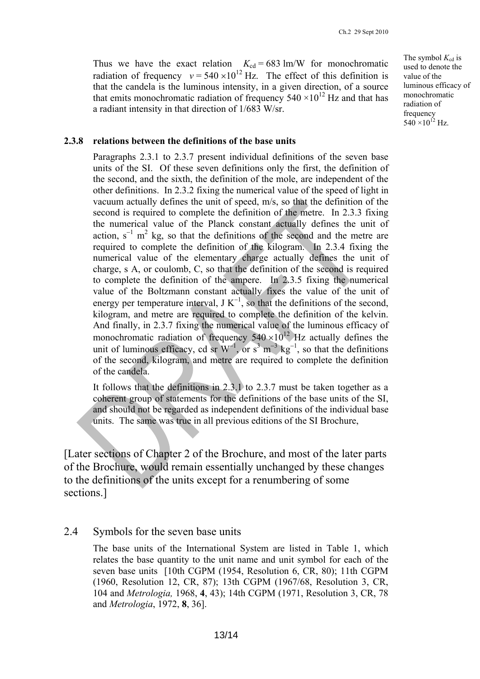Thus we have the exact relation  $K_{cd} = 683$  lm/W for monochromatic radiation of frequency  $v = 540 \times 10^{12}$  Hz. The effect of this definition is that the candela is the luminous intensity, in a given direction, of a source that emits monochromatic radiation of frequency  $540 \times 10^{12}$  Hz and that has a radiant intensity in that direction of 1/683 W/sr.

The symbol  $K_{\text{cd}}$  is used to denote the value of the luminous efficacy of monochromatic radiation of frequency  $540 \times 10^{12}$  Hz.

### **2.3.8 relations between the definitions of the base units**

Paragraphs 2.3.1 to 2.3.7 present individual definitions of the seven base units of the SI. Of these seven definitions only the first, the definition of the second, and the sixth, the definition of the mole, are independent of the other definitions. In 2.3.2 fixing the numerical value of the speed of light in vacuum actually defines the unit of speed, m/s, so that the definition of the second is required to complete the definition of the metre. In 2.3.3 fixing the numerical value of the Planck constant actually defines the unit of action,  $s^{-1}$  m<sup>2</sup> kg, so that the definitions of the second and the metre are required to complete the definition of the kilogram. In 2.3.4 fixing the numerical value of the elementary charge actually defines the unit of charge, s A, or coulomb, C, so that the definition of the second is required to complete the definition of the ampere. In 2.3.5 fixing the numerical value of the Boltzmann constant actually fixes the value of the unit of energy per temperature interval,  $J K^{-1}$ , so that the definitions of the second, kilogram, and metre are required to complete the definition of the kelvin. And finally, in 2.3.7 fixing the numerical value of the luminous efficacy of monochromatic radiation of frequency  $540 \times 10^{12}$  Hz actually defines the unit of luminous efficacy, cd sr  $W^{-1}$ , or  $s^3$  m<sup>-3</sup> kg<sup>-1</sup>, so that the definitions of the second, kilogram, and metre are required to complete the definition of the candela.

It follows that the definitions in 2.3.1 to 2.3.7 must be taken together as a coherent group of statements for the definitions of the base units of the SI, and should not be regarded as independent definitions of the individual base units. The same was true in all previous editions of the SI Brochure,

[Later sections of Chapter 2 of the Brochure, and most of the later parts of the Brochure, would remain essentially unchanged by these changes to the definitions of the units except for a renumbering of some sections.]

## 2.4 Symbols for the seven base units

The base units of the International System are listed in Table 1, which relates the base quantity to the unit name and unit symbol for each of the seven base units [10th CGPM (1954, Resolution 6, CR, 80); 11th CGPM (1960, Resolution 12, CR, 87); 13th CGPM (1967/68, Resolution 3, CR, 104 and *Metrologia,* 1968, **4**, 43); 14th CGPM (1971, Resolution 3, CR, 78 and *Metrologia*, 1972, **8**, 36].